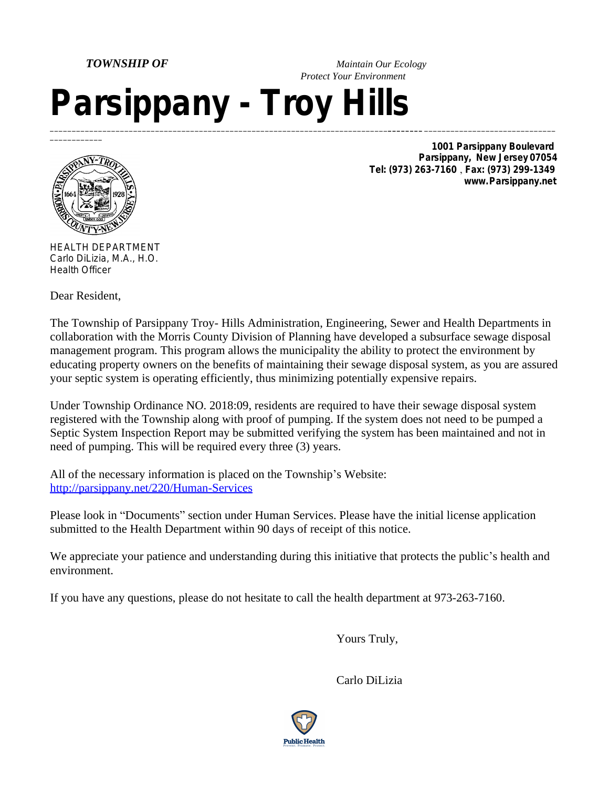*TOWNSHIP OF Maintain Our Ecology Protect Your Environment*

## *Parsippany - Troy Hills* \_\_\_\_\_\_\_\_\_\_\_\_\_\_\_\_\_\_\_\_\_\_\_\_\_\_\_\_\_\_\_\_\_\_\_\_\_\_\_\_\_\_\_\_\_\_\_\_\_\_\_\_\_\_\_\_\_\_\_\_\_\_\_\_\_\_\_\_\_\_\_\_\_\_\_\_\_*\_\_\_\_\_\_\_\_* \_\_\_\_\_\_\_\_\_\_\_\_\_\_\_\_\_\_\_\_\_\_\_\_\_\_\_\_\_\_



 $\overline{\phantom{a}}$ 

*1001 Parsippany Boulevard Parsippany, New Jersey 07054 Tel: (973) 263-7160 Fax: (973) 299-1349 www.Parsippany.net*

HEALTH DEPARTMENT Carlo DiLizia, M.A., H.O. Health Officer

Dear Resident,

The Township of Parsippany Troy- Hills Administration, Engineering, Sewer and Health Departments in collaboration with the Morris County Division of Planning have developed a subsurface sewage disposal management program. This program allows the municipality the ability to protect the environment by educating property owners on the benefits of maintaining their sewage disposal system, as you are assured your septic system is operating efficiently, thus minimizing potentially expensive repairs.

Under Township Ordinance NO. 2018:09, residents are required to have their sewage disposal system registered with the Township along with proof of pumping. If the system does not need to be pumped a Septic System Inspection Report may be submitted verifying the system has been maintained and not in need of pumping. This will be required every three (3) years.

All of the necessary information is placed on the Township's Website: <http://parsippany.net/220/Human-Services>

Please look in "Documents" section under Human Services. Please have the initial license application submitted to the Health Department within 90 days of receipt of this notice.

We appreciate your patience and understanding during this initiative that protects the public's health and environment.

If you have any questions, please do not hesitate to call the health department at 973-263-7160.

Yours Truly,

Carlo DiLizia